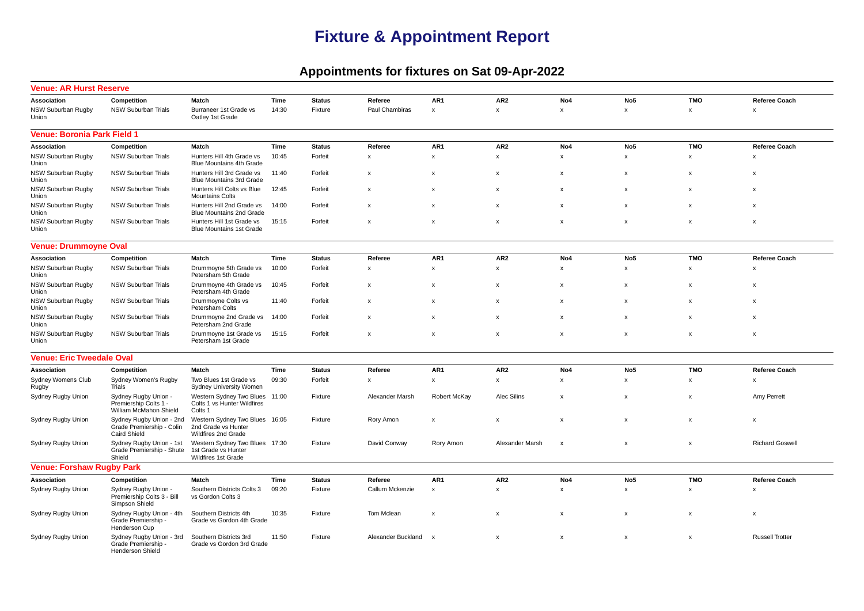## **Fixture & Appointment Report**

## **Appointments for fixtures on Sat 09-Apr-2022**

| <b>Venue: AR Hurst Reserve</b>     |                                                                              |                                                                              |       |               |                           |                           |                           |                           |                           |                           |                           |
|------------------------------------|------------------------------------------------------------------------------|------------------------------------------------------------------------------|-------|---------------|---------------------------|---------------------------|---------------------------|---------------------------|---------------------------|---------------------------|---------------------------|
| Association                        | Competition                                                                  | Match                                                                        | Time  | <b>Status</b> | Referee                   | AR1                       | AR <sub>2</sub>           | No4                       | No <sub>5</sub>           | <b>TMO</b>                | <b>Referee Coach</b>      |
| <b>NSW Suburban Rugby</b><br>Union | NSW Suburban Trials                                                          | Burraneer 1st Grade vs<br>Oatley 1st Grade                                   | 14:30 | Fixture       | Paul Chambiras            | $\pmb{\mathsf{x}}$        | $\boldsymbol{\mathsf{x}}$ | $\boldsymbol{\mathsf{x}}$ | $\boldsymbol{\mathsf{x}}$ | $\boldsymbol{\mathsf{x}}$ | $\boldsymbol{\mathsf{x}}$ |
| Venue: Boronia Park Field 1        |                                                                              |                                                                              |       |               |                           |                           |                           |                           |                           |                           |                           |
| Association                        | Competition                                                                  | Match                                                                        | Time  | <b>Status</b> | Referee                   | AR1                       | AR <sub>2</sub>           | No4                       | No <sub>5</sub>           | TMO                       | Referee Coach             |
| <b>NSW Suburban Rugby</b><br>Union | NSW Suburban Trials                                                          | Hunters Hill 4th Grade vs<br><b>Blue Mountains 4th Grade</b>                 | 10:45 | Forfeit       | $\pmb{\mathsf{x}}$        | $\pmb{\mathsf{x}}$        | $\pmb{\mathsf{x}}$        | $\pmb{\mathsf{x}}$        | $\pmb{\mathsf{x}}$        | $\boldsymbol{\mathsf{x}}$ | $\boldsymbol{\mathsf{x}}$ |
| NSW Suburban Rugby<br>Union        | <b>NSW Suburban Trials</b>                                                   | Hunters Hill 3rd Grade vs<br>Blue Mountains 3rd Grade                        | 11:40 | Forfeit       | $\boldsymbol{\mathsf{x}}$ | $\pmb{\mathsf{x}}$        | $\pmb{\mathsf{x}}$        | $\pmb{\mathsf{x}}$        | $\pmb{\times}$            | $\pmb{\times}$            | $\pmb{\times}$            |
| NSW Suburban Rugby<br>Union        | NSW Suburban Trials                                                          | Hunters Hill Colts vs Blue<br><b>Mountains Colts</b>                         | 12:45 | Forfeit       | $\boldsymbol{\mathsf{x}}$ | $\boldsymbol{\mathsf{x}}$ | $\boldsymbol{\mathsf{x}}$ | $\boldsymbol{\mathsf{x}}$ | $\boldsymbol{\mathsf{x}}$ | $\boldsymbol{\mathsf{x}}$ | x                         |
| NSW Suburban Rugby<br>Union        | <b>NSW Suburban Trials</b>                                                   | Hunters Hill 2nd Grade vs<br>Blue Mountains 2nd Grade                        | 14:00 | Forfeit       | x                         | $\boldsymbol{\mathsf{x}}$ | $\boldsymbol{\mathsf{x}}$ | $\boldsymbol{\mathsf{x}}$ | $\boldsymbol{\mathsf{x}}$ | $\boldsymbol{\mathsf{x}}$ | $\boldsymbol{\mathsf{x}}$ |
| NSW Suburban Rugby<br>Union        | <b>NSW Suburban Trials</b>                                                   | Hunters Hill 1st Grade vs<br><b>Blue Mountains 1st Grade</b>                 | 15:15 | Forfeit       | $\boldsymbol{\mathsf{x}}$ | $\boldsymbol{\mathsf{x}}$ | $\boldsymbol{\mathsf{x}}$ | $\boldsymbol{\mathsf{x}}$ | $\boldsymbol{\mathsf{x}}$ | $\boldsymbol{\mathsf{x}}$ | $\boldsymbol{\mathsf{x}}$ |
| <b>Venue: Drummoyne Oval</b>       |                                                                              |                                                                              |       |               |                           |                           |                           |                           |                           |                           |                           |
| Association                        | Competition                                                                  | Match                                                                        | Time  | <b>Status</b> | Referee                   | AR1                       | AR <sub>2</sub>           | No4                       | No <sub>5</sub>           | <b>TMO</b>                | Referee Coach             |
| NSW Suburban Rugby<br>Union        | <b>NSW Suburban Trials</b>                                                   | Drummoyne 5th Grade vs<br>Petersham 5th Grade                                | 10:00 | Forfeit       | $\pmb{\chi}$              | $\pmb{\mathsf{x}}$        | $\pmb{\mathsf{x}}$        | $\pmb{\mathsf{x}}$        | x                         | $\boldsymbol{\mathsf{x}}$ | $\boldsymbol{\mathsf{x}}$ |
| NSW Suburban Rugby<br>Union        | <b>NSW Suburban Trials</b>                                                   | Drummoyne 4th Grade vs<br>Petersham 4th Grade                                | 10:45 | Forfeit       | $\boldsymbol{\mathsf{x}}$ | $\boldsymbol{\mathsf{x}}$ | $\boldsymbol{\mathsf{x}}$ | $\boldsymbol{\mathsf{x}}$ | $\boldsymbol{\mathsf{x}}$ | $\boldsymbol{\mathsf{x}}$ | $\boldsymbol{\mathsf{x}}$ |
| NSW Suburban Rugby<br>Union        | <b>NSW Suburban Trials</b>                                                   | Drummoyne Colts vs<br>Petersham Colts                                        | 11:40 | Forfeit       | X                         | $\boldsymbol{\mathsf{x}}$ | $\boldsymbol{\mathsf{x}}$ | $\boldsymbol{\mathsf{x}}$ | $\boldsymbol{\mathsf{x}}$ | $\boldsymbol{\mathsf{x}}$ | x                         |
| <b>NSW Suburban Rugby</b><br>Union | <b>NSW Suburban Trials</b>                                                   | Drummoyne 2nd Grade vs<br>Petersham 2nd Grade                                | 14:00 | Forfeit       | $\boldsymbol{\mathsf{x}}$ | $\boldsymbol{\mathsf{x}}$ | $\boldsymbol{\mathsf{x}}$ | $\boldsymbol{\mathsf{x}}$ | $\boldsymbol{\mathsf{x}}$ | $\boldsymbol{\mathsf{x}}$ | $\boldsymbol{\mathsf{x}}$ |
| <b>NSW Suburban Rugby</b><br>Union | <b>NSW Suburban Trials</b>                                                   | Drummoyne 1st Grade vs<br>Petersham 1st Grade                                | 15:15 | Forfeit       | $\boldsymbol{\mathsf{x}}$ | $\boldsymbol{\mathsf{x}}$ | $\boldsymbol{\mathsf{x}}$ | $\mathbf{x}$              | $\boldsymbol{\mathsf{x}}$ | $\mathsf{x}$              | $\boldsymbol{\mathsf{x}}$ |
| <b>Venue: Eric Tweedale Oval</b>   |                                                                              |                                                                              |       |               |                           |                           |                           |                           |                           |                           |                           |
| Association                        | Competition                                                                  | Match                                                                        | Time  | <b>Status</b> | Referee                   | AR1                       | AR <sub>2</sub>           | No4                       | No <sub>5</sub>           | <b>TMO</b>                | <b>Referee Coach</b>      |
| Sydney Womens Club<br>Rugby        | Sydney Women's Rugby<br>Trials                                               | Two Blues 1st Grade vs<br>Sydney University Women                            | 09:30 | Forfeit       | $\pmb{\chi}$              | $\pmb{\mathsf{x}}$        | $\pmb{\mathsf{x}}$        | $\pmb{\mathsf{x}}$        | x                         | x                         | $\mathbf{x}$              |
| Sydney Rugby Union                 | Sydney Rugby Union -<br>Premiership Colts 1 -<br>William McMahon Shield      | Western Sydney Two Blues<br>Colts 1 vs Hunter Wildfires<br>Colts 1           | 11:00 | Fixture       | Alexander Marsh           | Robert McKay              | Alec Silins               | $\boldsymbol{\mathsf{x}}$ | $\boldsymbol{\mathsf{x}}$ | $\boldsymbol{\mathsf{x}}$ | Amy Perrett               |
| Sydney Rugby Union                 | Sydney Rugby Union - 2nd<br>Grade Premiership - Colin<br><b>Caird Shield</b> | Western Sydney Two Blues 16:05<br>2nd Grade vs Hunter<br>Wildfires 2nd Grade |       | Fixture       | Rory Amon                 | $\boldsymbol{\mathsf{x}}$ | $\boldsymbol{\mathsf{x}}$ | $\boldsymbol{\mathsf{x}}$ | $\boldsymbol{\mathsf{x}}$ | $\boldsymbol{\mathsf{x}}$ | x                         |
| Sydney Rugby Union                 | Sydney Rugby Union - 1st<br>Grade Premiership - Shute<br>Shield              | Western Sydney Two Blues 17:30<br>1st Grade vs Hunter<br>Wildfires 1st Grade |       | Fixture       | David Conway              | Rory Amon                 | Alexander Marsh           | $\boldsymbol{\mathsf{x}}$ | $\boldsymbol{\mathsf{x}}$ | $\boldsymbol{\mathsf{x}}$ | <b>Richard Goswell</b>    |
| <b>Venue: Forshaw Rugby Park</b>   |                                                                              |                                                                              |       |               |                           |                           |                           |                           |                           |                           |                           |
| Association                        | Competition                                                                  | Match                                                                        | Time  | <b>Status</b> | Referee                   | AR <sub>1</sub>           | AR <sub>2</sub>           | No4                       | No <sub>5</sub>           | <b>TMO</b>                | <b>Referee Coach</b>      |
| Sydney Rugby Union                 | Sydney Rugby Union -<br>Premiership Colts 3 - Bill<br>Simpson Shield         | Southern Districts Colts 3<br>vs Gordon Colts 3                              | 09:20 | Fixture       | Callum Mckenzie           | $\pmb{\mathsf{x}}$        | $\boldsymbol{\mathsf{x}}$ | $\boldsymbol{\mathsf{x}}$ | $\boldsymbol{\mathsf{x}}$ | $\boldsymbol{\mathsf{x}}$ | $\mathsf{x}$              |
| Sydney Rugby Union                 | Sydney Rugby Union - 4th<br>Grade Premiership -<br>Henderson Cup             | Southern Districts 4th<br>Grade vs Gordon 4th Grade                          | 10:35 | Fixture       | Tom Mclean                | $\boldsymbol{\mathsf{x}}$ | $\boldsymbol{\mathsf{x}}$ | $\boldsymbol{\mathsf{x}}$ | $\boldsymbol{\mathsf{x}}$ | $\boldsymbol{\mathsf{x}}$ | x                         |
| Sydney Rugby Union                 | Sydney Rugby Union - 3rd<br>Grade Premiership -<br><b>Henderson Shield</b>   | Southern Districts 3rd<br>Grade vs Gordon 3rd Grade                          | 11:50 | Fixture       | Alexander Buckland        | $\mathbf{x}$              | $\pmb{\mathsf{x}}$        | $\pmb{\mathsf{x}}$        | $\mathbf{x}$              | $\mathbf{x}$              | <b>Russell Trotter</b>    |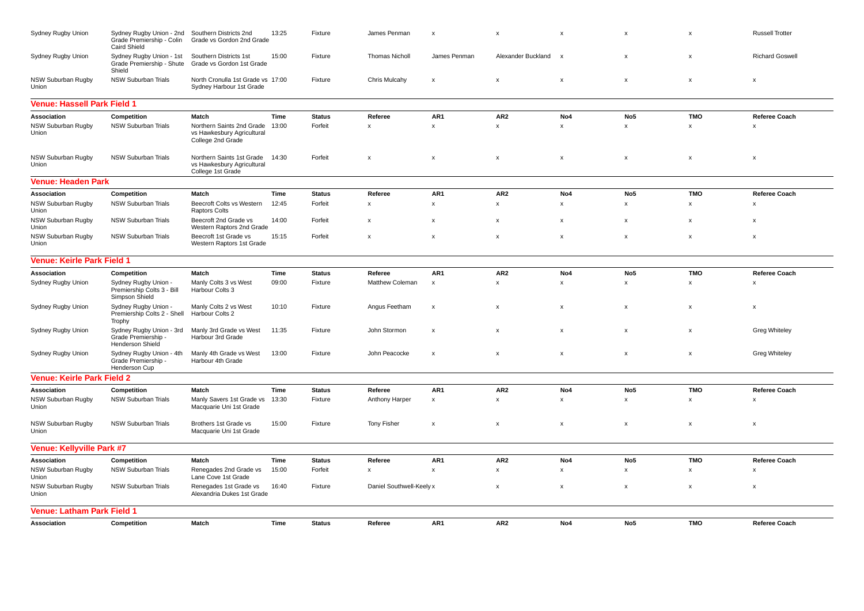| Sydney Rugby Union                 | Sydney Rugby Union - 2nd<br>Grade Premiership - Colin<br><b>Caird Shield</b> | Southern Districts 2nd<br>Grade vs Gordon 2nd Grade                                | 13:25 | Fixture       | James Penman              | X                         | $\boldsymbol{\mathsf{x}}$ | $\boldsymbol{\mathsf{x}}$ | $\boldsymbol{\mathsf{x}}$ | X                         | <b>Russell Trotter</b>    |
|------------------------------------|------------------------------------------------------------------------------|------------------------------------------------------------------------------------|-------|---------------|---------------------------|---------------------------|---------------------------|---------------------------|---------------------------|---------------------------|---------------------------|
| Sydney Rugby Union                 | Sydney Rugby Union - 1st<br>Grade Premiership - Shute<br>Shield              | Southern Districts 1st<br>Grade vs Gordon 1st Grade                                | 15:00 | Fixture       | <b>Thomas Nicholl</b>     | James Penman              | Alexander Buckland        | $\boldsymbol{\mathsf{x}}$ | $\boldsymbol{\mathsf{x}}$ | X                         | <b>Richard Goswell</b>    |
| NSW Suburban Rugby<br>Union        | NSW Suburban Trials                                                          | North Cronulla 1st Grade vs 17:00<br>Sydney Harbour 1st Grade                      |       | Fixture       | Chris Mulcahy             | $\boldsymbol{\mathsf{x}}$ | $\boldsymbol{\mathsf{x}}$ | $\boldsymbol{\mathsf{x}}$ | $\boldsymbol{\mathsf{x}}$ | $\boldsymbol{\mathsf{x}}$ | x                         |
| <b>Venue: Hassell Park Field 1</b> |                                                                              |                                                                                    |       |               |                           |                           |                           |                           |                           |                           |                           |
| Association                        | Competition                                                                  | Match                                                                              | Time  | <b>Status</b> | Referee                   | AR <sub>1</sub>           | AR <sub>2</sub>           | No4                       | No <sub>5</sub>           | <b>TMO</b>                | <b>Referee Coach</b>      |
| NSW Suburban Rugby<br>Union        | <b>NSW Suburban Trials</b>                                                   | Northern Saints 2nd Grade<br>vs Hawkesbury Agricultural<br>College 2nd Grade       | 13:00 | Forfeit       | X                         | $\pmb{\chi}$              | $\pmb{\chi}$              | $\pmb{\times}$            | $\boldsymbol{\mathsf{x}}$ | $\boldsymbol{\mathsf{x}}$ | $\boldsymbol{\mathsf{x}}$ |
| NSW Suburban Rugby<br>Union        | <b>NSW Suburban Trials</b>                                                   | Northern Saints 1st Grade 14:30<br>vs Hawkesbury Agricultural<br>College 1st Grade |       | Forfeit       | $\boldsymbol{\mathsf{x}}$ | $\pmb{\chi}$              | $\pmb{\chi}$              | $\pmb{\times}$            | $\boldsymbol{\mathsf{x}}$ | $\boldsymbol{\mathsf{x}}$ | $\pmb{\mathsf{x}}$        |
| Venue: Headen Park                 |                                                                              |                                                                                    |       |               |                           |                           |                           |                           |                           |                           |                           |
| Association                        | Competition                                                                  | Match                                                                              | Time  | <b>Status</b> | Referee                   | AR1                       | AR <sub>2</sub>           | No4                       | No <sub>5</sub>           | <b>TMO</b>                | <b>Referee Coach</b>      |
| NSW Suburban Rugby<br>Union        | <b>NSW Suburban Trials</b>                                                   | Beecroft Colts vs Western<br><b>Raptors Colts</b>                                  | 12:45 | Forfeit       | $\boldsymbol{\mathsf{x}}$ | $\pmb{\chi}$              | $\pmb{\chi}$              | $\pmb{\times}$            | $\boldsymbol{\mathsf{x}}$ | X                         | X                         |
| NSW Suburban Rugby<br>Union        | NSW Suburban Trials                                                          | Beecroft 2nd Grade vs<br>Western Raptors 2nd Grade                                 | 14:00 | Forfeit       | X                         | $\boldsymbol{\mathsf{x}}$ | $\boldsymbol{\mathsf{x}}$ | $\boldsymbol{\mathsf{x}}$ | x                         | x                         | x                         |
| NSW Suburban Rugby<br>Union        | NSW Suburban Trials                                                          | Beecroft 1st Grade vs<br>Western Raptors 1st Grade                                 | 15:15 | Forfeit       | $\boldsymbol{\mathsf{x}}$ | $\pmb{\times}$            | $\pmb{\mathsf{x}}$        | $\pmb{\times}$            | x                         | X                         | $\pmb{\mathsf{x}}$        |
| <b>Venue: Keirle Park Field 1</b>  |                                                                              |                                                                                    |       |               |                           |                           |                           |                           |                           |                           |                           |
| Association                        | Competition                                                                  | Match                                                                              | Time  | <b>Status</b> | Referee                   | AR <sub>1</sub>           | AR <sub>2</sub>           | No <sub>4</sub>           | No <sub>5</sub>           | <b>TMO</b>                | <b>Referee Coach</b>      |
| Sydney Rugby Union                 | Sydney Rugby Union -<br>Premiership Colts 3 - Bill<br>Simpson Shield         | Manly Colts 3 vs West<br>Harbour Colts 3                                           | 09:00 | Fixture       | Matthew Coleman           | $\boldsymbol{\mathsf{x}}$ | $\pmb{\chi}$              | $\pmb{\times}$            | $\boldsymbol{\mathsf{x}}$ | $\boldsymbol{\mathsf{x}}$ | $\boldsymbol{\mathsf{x}}$ |
| Sydney Rugby Union                 | Sydney Rugby Union -<br>Premiership Colts 2 - Shell<br>Trophy                | Manly Colts 2 vs West<br>Harbour Colts 2                                           | 10:10 | Fixture       | Angus Feetham             | $\boldsymbol{\mathsf{x}}$ | $\boldsymbol{\mathsf{x}}$ | $\boldsymbol{\mathsf{x}}$ | $\boldsymbol{\mathsf{x}}$ | $\boldsymbol{\mathsf{x}}$ | x                         |
| Sydney Rugby Union                 | Sydney Rugby Union - 3rd<br>Grade Premiership -<br><b>Henderson Shield</b>   | Manly 3rd Grade vs West<br>Harbour 3rd Grade                                       | 11:35 | Fixture       | John Stormon              | $\boldsymbol{\mathsf{x}}$ | $\boldsymbol{\mathsf{x}}$ | $\boldsymbol{\mathsf{x}}$ | $\boldsymbol{\mathsf{x}}$ | $\boldsymbol{\mathsf{x}}$ | <b>Greg Whiteley</b>      |
| Sydney Rugby Union                 | Sydney Rugby Union - 4th<br>Grade Premiership -<br>Henderson Cup             | Manly 4th Grade vs West<br>Harbour 4th Grade                                       | 13:00 | Fixture       | John Peacocke             | $\boldsymbol{\mathsf{x}}$ | $\boldsymbol{\mathsf{x}}$ | $\boldsymbol{\mathsf{x}}$ | x                         | x                         | <b>Greg Whiteley</b>      |
| <b>Venue: Keirle Park Field 2</b>  |                                                                              |                                                                                    |       |               |                           |                           |                           |                           |                           |                           |                           |
| Association                        | Competition                                                                  | Match                                                                              | Time  | <b>Status</b> | Referee                   | AR1                       | AR <sub>2</sub>           | No4                       | No <sub>5</sub>           | <b>TMO</b>                | <b>Referee Coach</b>      |
| NSW Suburban Rugby<br>Union        | <b>NSW Suburban Trials</b>                                                   | Manly Savers 1st Grade vs<br>Macquarie Uni 1st Grade                               | 13:30 | Fixture       | Anthony Harper            | $\pmb{\chi}$              | $\mathsf{x}$              | $\mathsf{x}$              | $\mathsf{x}$              | $\times$                  | $\mathsf{x}$              |
| NSW Suburban Rugby<br>Union        | NSW Suburban Trials                                                          | Brothers 1st Grade vs<br>Macquarie Uni 1st Grade                                   | 15:00 | Fixture       | <b>Tony Fisher</b>        | $\pmb{\times}$            | X                         | $\pmb{\times}$            | x                         | $\pmb{\times}$            | x                         |
| Venue: Kellyville Park #7          |                                                                              |                                                                                    |       |               |                           |                           |                           |                           |                           |                           |                           |
| Association                        | Competition                                                                  | Match                                                                              | Time  | <b>Status</b> | Referee                   | AR <sub>1</sub>           | AR <sub>2</sub>           | No4                       | No <sub>5</sub>           | <b>TMO</b>                | <b>Referee Coach</b>      |
| NSW Suburban Rugby<br>Union        | NSW Suburban Trials                                                          | Renegades 2nd Grade vs<br>Lane Cove 1st Grade                                      | 15:00 | Forfeit       | X                         | $\boldsymbol{\mathsf{x}}$ | $\boldsymbol{\mathsf{x}}$ | $\pmb{\mathsf{x}}$        | $\pmb{\times}$            | $\pmb{\times}$            | X                         |
| NSW Suburban Rugby<br>Union        | <b>NSW Suburban Trials</b>                                                   | Renegades 1st Grade vs<br>Alexandria Dukes 1st Grade                               | 16:40 | Fixture       | Daniel Southwell-Keely x  |                           | $\boldsymbol{\mathsf{x}}$ | $\boldsymbol{\mathsf{x}}$ | $\boldsymbol{\mathsf{x}}$ | X                         | $\boldsymbol{\mathsf{x}}$ |
| Venue: Latham Park Field 1         |                                                                              |                                                                                    |       |               |                           |                           |                           |                           |                           |                           |                           |
| Association                        | Competition                                                                  | Match                                                                              | Time  | <b>Status</b> | Referee                   | AR <sub>1</sub>           | AR <sub>2</sub>           | No <sub>4</sub>           | No <sub>5</sub>           | <b>TMO</b>                | <b>Referee Coach</b>      |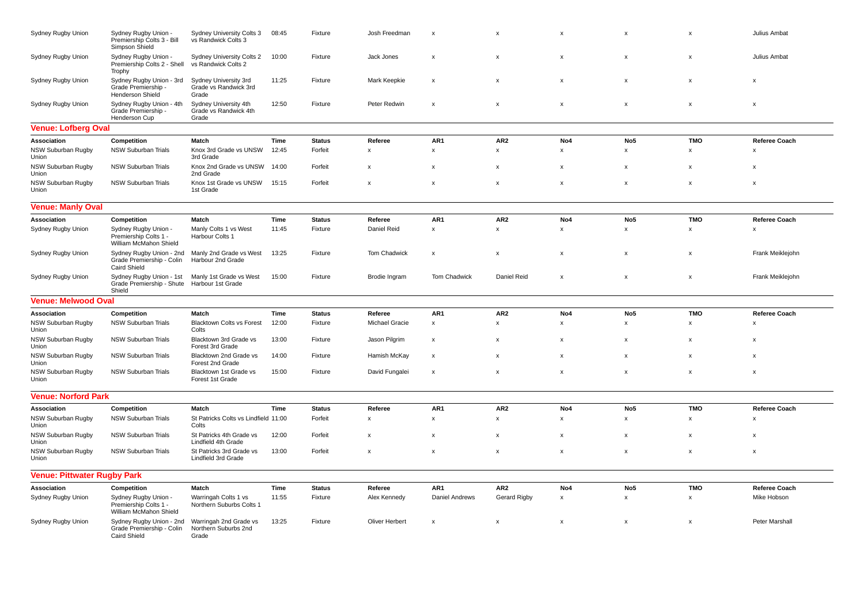| Sydney Rugby Union                 | Sydney Rugby Union -<br>Premiership Colts 3 - Bill<br>Simpson Shield         | Sydney University Colts 3<br>vs Randwick Colts 3        | 08:45 | Fixture       | Josh Freedman             | $\boldsymbol{\mathsf{x}}$ | $\boldsymbol{\mathsf{x}}$ | X                         | x                         | $\mathsf{x}$              | Julius Ambat     |
|------------------------------------|------------------------------------------------------------------------------|---------------------------------------------------------|-------|---------------|---------------------------|---------------------------|---------------------------|---------------------------|---------------------------|---------------------------|------------------|
| Sydney Rugby Union                 | Sydney Rugby Union -<br>Premiership Colts 2 - Shell<br>Trophy                | Sydney University Colts 2<br>vs Randwick Colts 2        | 10:00 | Fixture       | Jack Jones                | $\boldsymbol{\mathsf{x}}$ | $\boldsymbol{\mathsf{x}}$ | x                         | x                         | X                         | Julius Ambat     |
| Sydney Rugby Union                 | Sydney Rugby Union - 3rd<br>Grade Premiership -<br>Henderson Shield          | Sydney University 3rd<br>Grade vs Randwick 3rd<br>Grade | 11:25 | Fixture       | Mark Keepkie              | $\boldsymbol{\mathsf{x}}$ | $\boldsymbol{\mathsf{x}}$ | x                         | x                         | x                         | X                |
| Sydney Rugby Union                 | Sydney Rugby Union - 4th<br>Grade Premiership -<br>Henderson Cup             | Sydney University 4th<br>Grade vs Randwick 4th<br>Grade | 12:50 | Fixture       | Peter Redwin              | X                         | $\boldsymbol{\mathsf{x}}$ | $\pmb{\times}$            | $\boldsymbol{\mathsf{x}}$ | X                         | X                |
| <b>Venue: Lofberg Oval</b>         |                                                                              |                                                         |       |               |                           |                           |                           |                           |                           |                           |                  |
| Association                        | Competition                                                                  | Match                                                   | Time  | <b>Status</b> | Referee                   | AR1                       | AR <sub>2</sub>           | No4                       | No5                       | <b>TMO</b>                | Referee Coach    |
| NSW Suburban Rugby<br>Union        | NSW Suburban Trials                                                          | Knox 3rd Grade vs UNSW<br>3rd Grade                     | 12:45 | Forfeit       | $\pmb{\times}$            | $\pmb{\mathsf{x}}$        | $\pmb{\mathsf{x}}$        | $\pmb{\mathsf{x}}$        | $\mathsf x$               | $\mathsf{x}$              | x                |
| NSW Suburban Rugby<br>Union        | <b>NSW Suburban Trials</b>                                                   | Knox 2nd Grade vs UNSW<br>2nd Grade                     | 14:00 | Forfeit       | $\boldsymbol{\mathsf{x}}$ | $\boldsymbol{\mathsf{x}}$ | $\boldsymbol{\mathsf{x}}$ | $\boldsymbol{\mathsf{x}}$ | x                         | $\boldsymbol{\mathsf{x}}$ | X                |
| NSW Suburban Rugby<br>Union        | NSW Suburban Trials                                                          | Knox 1st Grade vs UNSW<br>1st Grade                     | 15:15 | Forfeit       | $\boldsymbol{\mathsf{x}}$ | $\boldsymbol{\mathsf{x}}$ | $\boldsymbol{\mathsf{x}}$ | x                         | x                         | x                         | X                |
| <b>Venue: Manly Oval</b>           |                                                                              |                                                         |       |               |                           |                           |                           |                           |                           |                           |                  |
| Association                        | Competition                                                                  | Match                                                   | Time  | <b>Status</b> | Referee                   | AR <sub>1</sub>           | AR <sub>2</sub>           | No4                       | No <sub>5</sub>           | <b>TMO</b>                | Referee Coach    |
| Sydney Rugby Union                 | Sydney Rugby Union -<br>Premiership Colts 1 -<br>William McMahon Shield      | Manly Colts 1 vs West<br>Harbour Colts 1                | 11:45 | Fixture       | Daniel Reid               | $\pmb{\chi}$              | $\pmb{\mathsf{x}}$        | $\mathsf{x}$              | X                         | x                         | $\mathsf{x}$     |
| Sydney Rugby Union                 | Sydney Rugby Union - 2nd<br>Grade Premiership - Colin<br><b>Caird Shield</b> | Manly 2nd Grade vs West<br>Harbour 2nd Grade            | 13:25 | Fixture       | Tom Chadwick              | $\boldsymbol{\mathsf{x}}$ | $\boldsymbol{\mathsf{x}}$ | x                         | x                         | x                         | Frank Meiklejohn |
| Sydney Rugby Union                 | Sydney Rugby Union - 1st<br>Grade Premiership - Shute<br>Shield              | Manly 1st Grade vs West<br>Harbour 1st Grade            | 15:00 | Fixture       | Brodie Ingram             | Tom Chadwick              | Daniel Reid               | x                         | $\pmb{\times}$            | x                         | Frank Meiklejohn |
| <b>Venue: Melwood Oval</b>         |                                                                              |                                                         |       |               |                           |                           |                           |                           |                           |                           |                  |
| Association                        | Competition                                                                  | Match                                                   | Time  | <b>Status</b> | Referee                   | AR1                       | AR <sub>2</sub>           | No4                       | No <sub>5</sub>           | <b>TMO</b>                | Referee Coach    |
| NSW Suburban Rugby<br>Union        | NSW Suburban Trials                                                          | <b>Blacktown Colts vs Forest</b><br>Colts               | 12:00 | Fixture       | Michael Gracie            | $\pmb{\mathsf{x}}$        | $\pmb{\mathsf{x}}$        | $\pmb{\times}$            | X                         | x                         | X                |
| NSW Suburban Rugby<br>Union        | NSW Suburban Trials                                                          | Blacktown 3rd Grade vs<br>Forest 3rd Grade              | 13:00 | Fixture       | Jason Pilgrim             | $\boldsymbol{\mathsf{x}}$ | $\boldsymbol{\mathsf{x}}$ | X                         | $\boldsymbol{\mathsf{x}}$ | $\boldsymbol{\mathsf{x}}$ | X                |
| NSW Suburban Rugby<br>Union        | NSW Suburban Trials                                                          | Blacktown 2nd Grade vs<br>Forest 2nd Grade              | 14:00 | Fixture       | Hamish McKay              | $\boldsymbol{\mathsf{x}}$ | $\boldsymbol{\mathsf{x}}$ | $\pmb{\times}$            | $\pmb{\times}$            | X                         | x                |
| NSW Suburban Rugby<br>Union        | NSW Suburban Trials                                                          | Blacktown 1st Grade vs<br>Forest 1st Grade              | 15:00 | Fixture       | David Fungalei            | X                         | $\boldsymbol{\mathsf{x}}$ | x                         | $\pmb{\mathsf{x}}$        | x                         | X                |
| <b>Venue: Norford Park</b>         |                                                                              |                                                         |       |               |                           |                           |                           |                           |                           |                           |                  |
| Association                        | Competition                                                                  | Match                                                   | Time  | <b>Status</b> | Referee                   | AR1                       | AR <sub>2</sub>           | No4                       | No <sub>5</sub>           | <b>TMO</b>                | Referee Coach    |
| NSW Suburban Rugby<br>Union        | NSW Suburban Trials                                                          | St Patricks Colts vs Lindfield 11:00<br>Colts           |       | Forfeit       | $\pmb{\mathsf{x}}$        | $\pmb{\mathsf{x}}$        | $\pmb{\mathsf{x}}$        | $\pmb{\times}$            | X                         | x                         | x                |
| NSW Suburban Rugby<br>Union        | <b>NSW Suburban Trials</b>                                                   | St Patricks 4th Grade vs<br>Lindfield 4th Grade         | 12:00 | Forfeit       | $\boldsymbol{\mathsf{x}}$ | $\boldsymbol{\mathsf{x}}$ | $\boldsymbol{\mathsf{x}}$ | X                         | $\pmb{\times}$            | x                         | X                |
| NSW Suburban Rugby<br>Union        | <b>NSW Suburban Trials</b>                                                   | St Patricks 3rd Grade vs<br>Lindfield 3rd Grade         | 13:00 | Forfeit       | $\boldsymbol{\mathsf{x}}$ | $\boldsymbol{\mathsf{x}}$ | $\boldsymbol{\mathsf{x}}$ | X                         | $\boldsymbol{\mathsf{x}}$ | $\boldsymbol{\mathsf{x}}$ | X                |
| <b>Venue: Pittwater Rugby Park</b> |                                                                              |                                                         |       |               |                           |                           |                           |                           |                           |                           |                  |
| Association                        | Competition                                                                  | Match                                                   | Time  | <b>Status</b> | Referee                   | AR1                       | AR <sub>2</sub>           | No4                       | No <sub>5</sub>           | <b>TMO</b>                | Referee Coach    |
| Sydney Rugby Union                 | Sydney Rugby Union -<br>Premiership Colts 1 -<br>William McMahon Shield      | Warringah Colts 1 vs<br>Northern Suburbs Colts 1        | 11:55 | Fixture       | Alex Kennedy              | Daniel Andrews            | Gerard Rigby              | X                         | x                         | x                         | Mike Hobson      |
| Sydney Rugby Union                 | Sydney Rugby Union - 2nd<br>Grade Premiership - Colin<br><b>Caird Shield</b> | Warringah 2nd Grade vs<br>Northern Suburbs 2nd<br>Grade | 13:25 | Fixture       | <b>Oliver Herbert</b>     | $\boldsymbol{\mathsf{x}}$ | $\boldsymbol{\mathsf{x}}$ | X                         | $\boldsymbol{\mathsf{x}}$ | $\boldsymbol{\mathsf{x}}$ | Peter Marshall   |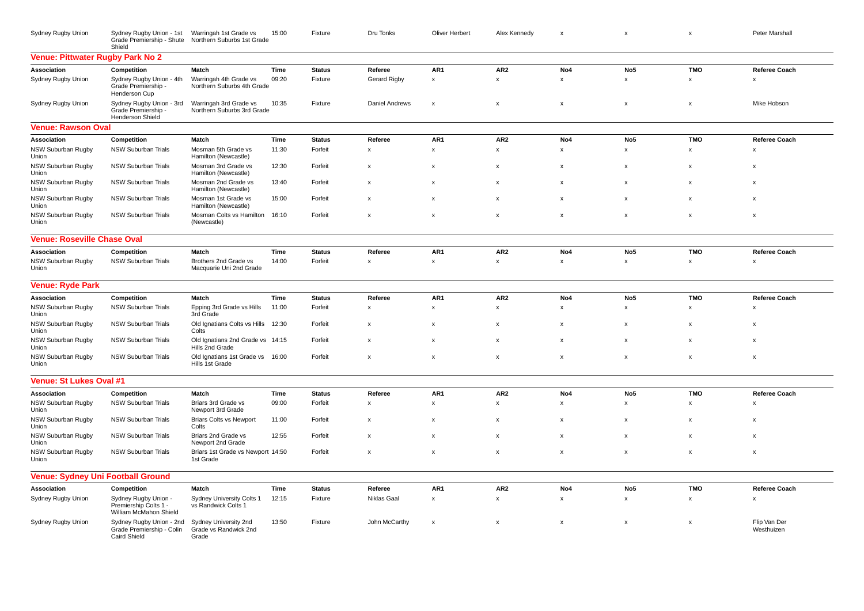| Sydney Rugby Union                       | Sydney Rugby Union - 1st<br>Grade Premiership - Shute<br>Shield              | Warringah 1st Grade vs<br>Northern Suburbs 1st Grade    | 15:00 | Fixture       | Dru Tonks                 | Oliver Herbert     | Alex Kennedy       | x                         | $\pmb{\times}$            | $\pmb{\mathsf{x}}$        | Peter Marshall             |
|------------------------------------------|------------------------------------------------------------------------------|---------------------------------------------------------|-------|---------------|---------------------------|--------------------|--------------------|---------------------------|---------------------------|---------------------------|----------------------------|
| Venue: Pittwater Rugby Park No 2         |                                                                              |                                                         |       |               |                           |                    |                    |                           |                           |                           |                            |
| Association                              | Competition                                                                  | Match                                                   | Time  | <b>Status</b> | Referee                   | AR1                | AR <sub>2</sub>    | No4                       | No <sub>5</sub>           | <b>TMO</b>                | <b>Referee Coach</b>       |
| Sydney Rugby Union                       | Sydney Rugby Union - 4th<br>Grade Premiership -<br>Henderson Cup             | Warringah 4th Grade vs<br>Northern Suburbs 4th Grade    | 09:20 | Fixture       | <b>Gerard Rigby</b>       | x                  | x                  | $\pmb{\chi}$              | $\boldsymbol{\mathsf{x}}$ | $\pmb{\chi}$              | $\mathsf{x}$               |
| Sydney Rugby Union                       | Sydney Rugby Union - 3rd<br>Grade Premiership -<br><b>Henderson Shield</b>   | Warringah 3rd Grade vs<br>Northern Suburbs 3rd Grade    | 10:35 | Fixture       | <b>Daniel Andrews</b>     | $\pmb{\times}$     | x                  | $\boldsymbol{\mathsf{x}}$ | $\boldsymbol{\mathsf{x}}$ | $\boldsymbol{\mathsf{x}}$ | Mike Hobson                |
| <b>Venue: Rawson Oval</b>                |                                                                              |                                                         |       |               |                           |                    |                    |                           |                           |                           |                            |
| Association                              | Competition                                                                  | Match                                                   | Time  | <b>Status</b> | Referee                   | AR1                | AR <sub>2</sub>    | No4                       | No <sub>5</sub>           | <b>TMO</b>                | <b>Referee Coach</b>       |
| NSW Suburban Rugby<br>Union              | <b>NSW Suburban Trials</b>                                                   | Mosman 5th Grade vs<br>Hamilton (Newcastle)             | 11:30 | Forfeit       | $\pmb{\chi}$              | x                  | $\mathsf{x}$       | x                         | $\mathbf{x}$              | $\pmb{\chi}$              | $\mathbf{x}$               |
| NSW Suburban Rugby<br>Union              | <b>NSW Suburban Trials</b>                                                   | Mosman 3rd Grade vs<br>Hamilton (Newcastle)             | 12:30 | Forfeit       | X                         | X                  | X                  | $\boldsymbol{\mathsf{x}}$ | $\boldsymbol{\mathsf{x}}$ | $\boldsymbol{\mathsf{x}}$ | $\boldsymbol{\mathsf{x}}$  |
| NSW Suburban Rugby<br>Union              | NSW Suburban Trials                                                          | Mosman 2nd Grade vs<br>Hamilton (Newcastle)             | 13:40 | Forfeit       | X                         | X                  | X                  | $\boldsymbol{\mathsf{x}}$ | $\boldsymbol{\mathsf{x}}$ | X                         | $\boldsymbol{\mathsf{x}}$  |
| NSW Suburban Rugby<br>Union              | NSW Suburban Trials                                                          | Mosman 1st Grade vs<br>Hamilton (Newcastle)             | 15:00 | Forfeit       | х                         | $\pmb{\times}$     | X                  | X                         | $\boldsymbol{\mathsf{x}}$ | X                         | $\boldsymbol{\mathsf{x}}$  |
| NSW Suburban Rugby<br>Union              | <b>NSW Suburban Trials</b>                                                   | Mosman Colts vs Hamilton<br>(Newcastle)                 | 16:10 | Forfeit       | $\pmb{\mathsf{x}}$        | $\pmb{\times}$     | $\pmb{\mathsf{x}}$ | X                         | $\boldsymbol{\mathsf{x}}$ | $\boldsymbol{\mathsf{x}}$ | x                          |
| <b>Venue: Roseville Chase Oval</b>       |                                                                              |                                                         |       |               |                           |                    |                    |                           |                           |                           |                            |
| Association                              | Competition                                                                  | Match                                                   | Time  | <b>Status</b> | Referee                   | AR1                | AR <sub>2</sub>    | No4                       | No <sub>5</sub>           | <b>TMO</b>                | Referee Coach              |
| NSW Suburban Rugby<br>Union              | <b>NSW Suburban Trials</b>                                                   | Brothers 2nd Grade vs<br>Macquarie Uni 2nd Grade        | 14:00 | Forfeit       | $\pmb{\mathsf{x}}$        | $\pmb{\mathsf{x}}$ | x                  | $\pmb{\times}$            | $\pmb{\mathsf{x}}$        | $\pmb{\mathsf{x}}$        | x                          |
| <b>Venue: Ryde Park</b>                  |                                                                              |                                                         |       |               |                           |                    |                    |                           |                           |                           |                            |
| Association                              | Competition                                                                  | Match                                                   | Time  | <b>Status</b> | Referee                   | AR <sub>1</sub>    | AR <sub>2</sub>    | No4                       | No <sub>5</sub>           | <b>TMO</b>                | <b>Referee Coach</b>       |
| NSW Suburban Rugby<br>Union              | NSW Suburban Trials                                                          | Epping 3rd Grade vs Hills<br>3rd Grade                  | 11:00 | Forfeit       | $\pmb{\mathsf{x}}$        | $\mathsf x$        | x                  | $\pmb{\times}$            | $\pmb{\times}$            | $\pmb{\mathsf{x}}$        | $\boldsymbol{\mathsf{x}}$  |
| <b>NSW Suburban Rugby</b><br>Union       | <b>NSW Suburban Trials</b>                                                   | Old Ignatians Colts vs Hills<br>Colts                   | 12:30 | Forfeit       | X                         | X                  | X                  | $\boldsymbol{\mathsf{x}}$ | $\boldsymbol{\mathsf{x}}$ | $\boldsymbol{\mathsf{x}}$ | $\boldsymbol{\mathsf{x}}$  |
| NSW Suburban Rugby<br>Union              | NSW Suburban Trials                                                          | Old Ignatians 2nd Grade vs 14:15<br>Hills 2nd Grade     |       | Forfeit       | x                         | X                  | x                  | X                         | $\boldsymbol{\mathsf{x}}$ | $\boldsymbol{\mathsf{x}}$ | x                          |
| NSW Suburban Rugby<br>Union              | NSW Suburban Trials                                                          | Old Ignatians 1st Grade vs<br>Hills 1st Grade           | 16:00 | Forfeit       | $\boldsymbol{\mathsf{x}}$ | X                  | X                  | $\boldsymbol{\mathsf{x}}$ | $\boldsymbol{\mathsf{x}}$ | $\boldsymbol{\mathsf{x}}$ | $\boldsymbol{\mathsf{x}}$  |
| Venue: St Lukes Oval #1                  |                                                                              |                                                         |       |               |                           |                    |                    |                           |                           |                           |                            |
| Association                              | Competition                                                                  | Match                                                   | Time  | <b>Status</b> | Referee                   | AR1                | AR <sub>2</sub>    | No4                       | No <sub>5</sub>           | <b>TMO</b>                | <b>Referee Coach</b>       |
| NSW Suburban Rugby<br>Union              | <b>NSW Suburban Trials</b>                                                   | Briars 3rd Grade vs<br>Newport 3rd Grade                | 09:00 | Forfeit       | X                         | x                  | x                  | x                         | $\boldsymbol{\mathsf{x}}$ | $\boldsymbol{\mathsf{x}}$ | $\boldsymbol{\mathsf{x}}$  |
| NSW Suburban Rugby<br>Union              | <b>NSW Suburban Trials</b>                                                   | <b>Briars Colts vs Newport</b><br>Colts                 | 11:00 | Forfeit       | x                         | x                  | x                  | X                         | x                         | X                         | x                          |
| NSW Suburban Rugby<br>Union              | <b>NSW Suburban Trials</b>                                                   | Briars 2nd Grade vs<br>Newport 2nd Grade                | 12:55 | Forfeit       | X                         | x                  | x                  | $\boldsymbol{\mathsf{x}}$ | x                         | X                         | $\boldsymbol{\mathsf{x}}$  |
| NSW Suburban Rugby<br>Union              | <b>NSW Suburban Trials</b>                                                   | Briars 1st Grade vs Newport 14:50<br>1st Grade          |       | Forfeit       | X                         | X                  | X                  | X                         | X                         | $\boldsymbol{\mathsf{x}}$ | $\boldsymbol{\mathsf{x}}$  |
| <b>Venue: Sydney Uni Football Ground</b> |                                                                              |                                                         |       |               |                           |                    |                    |                           |                           |                           |                            |
| Association                              | Competition                                                                  | Match                                                   | Time  | <b>Status</b> | Referee                   | AR <sub>1</sub>    | AR <sub>2</sub>    | No4                       | No <sub>5</sub>           | <b>TMO</b>                | <b>Referee Coach</b>       |
| Sydney Rugby Union                       | Sydney Rugby Union -<br>Premiership Colts 1 -<br>William McMahon Shield      | Sydney University Colts 1<br>vs Randwick Colts 1        | 12:15 | Fixture       | Niklas Gaal               | x                  | x                  | x                         | $\pmb{\mathsf{x}}$        | $\pmb{\mathsf{x}}$        | x                          |
| Sydney Rugby Union                       | Sydney Rugby Union - 2nd<br>Grade Premiership - Colin<br><b>Caird Shield</b> | Sydney University 2nd<br>Grade vs Randwick 2nd<br>Grade | 13:50 | Fixture       | John McCarthy             | x                  | X                  | X                         | x                         | $\boldsymbol{\mathsf{x}}$ | Flip Van Der<br>Westhuizen |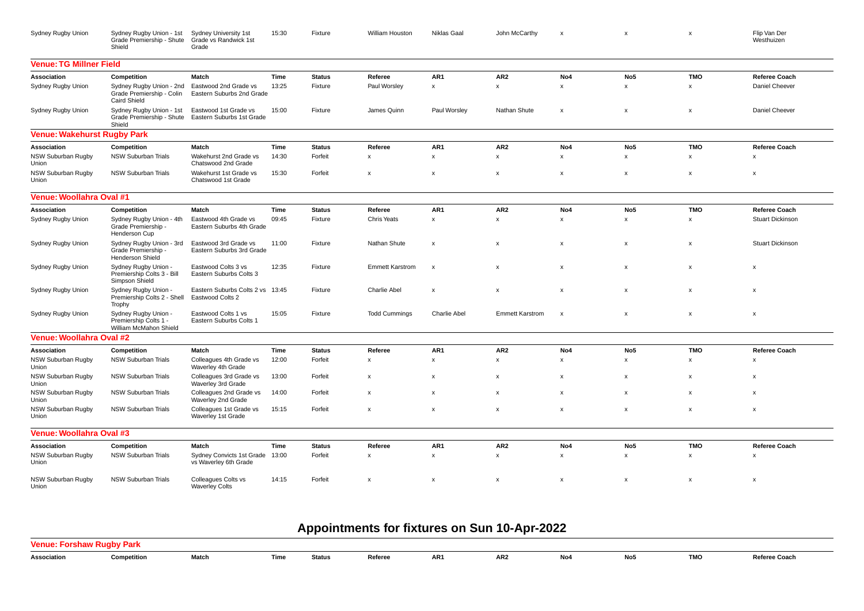| Sydney Rugby Union             | Sydney Rugby Union - 1st<br>Grade Premiership - Shute<br>Shield              | Sydney University 1st<br>Grade vs Randwick 1st<br>Grade  | 15:30 | Fixture       | William Houston           | Niklas Gaal               | John McCarthy          | $\boldsymbol{\mathsf{x}}$ | x                         | X                         | Flip Van Der<br>Westhuizen |
|--------------------------------|------------------------------------------------------------------------------|----------------------------------------------------------|-------|---------------|---------------------------|---------------------------|------------------------|---------------------------|---------------------------|---------------------------|----------------------------|
| <b>Venue: TG Millner Field</b> |                                                                              |                                                          |       |               |                           |                           |                        |                           |                           |                           |                            |
| Association                    | Competition                                                                  | Match                                                    | Time  | <b>Status</b> | Referee                   | AR1                       | AR <sub>2</sub>        | No4                       | No <sub>5</sub>           | <b>TMO</b>                | Referee Coach              |
| Sydney Rugby Union             | Sydney Rugby Union - 2nd<br>Grade Premiership - Colin<br><b>Caird Shield</b> | Eastwood 2nd Grade vs<br>Eastern Suburbs 2nd Grade       | 13:25 | Fixture       | Paul Worsley              | $\pmb{\mathsf{x}}$        | $\pmb{\mathsf{x}}$     | $\pmb{\mathsf{x}}$        | $\pmb{\chi}$              | $\pmb{\chi}$              | Daniel Cheever             |
| Sydney Rugby Union             | Sydney Rugby Union - 1st<br>Grade Premiership - Shute<br>Shield              | Eastwood 1st Grade vs<br>Eastern Suburbs 1st Grade       | 15:00 | Fixture       | James Quinn               | Paul Worsley              | Nathan Shute           | X                         | $\pmb{\chi}$              | $\pmb{\chi}$              | Daniel Cheever             |
| Venue: Wakehurst Rugby Park    |                                                                              |                                                          |       |               |                           |                           |                        |                           |                           |                           |                            |
| Association                    | Competition                                                                  | Match                                                    | Time  | <b>Status</b> | Referee                   | AR1                       | AR <sub>2</sub>        | No4                       | No <sub>5</sub>           | <b>TMO</b>                | Referee Coach              |
| NSW Suburban Rugby<br>Union    | <b>NSW Suburban Trials</b>                                                   | Wakehurst 2nd Grade vs<br>Chatswood 2nd Grade            | 14:30 | Forfeit       | $\boldsymbol{\mathsf{x}}$ | $\mathsf{x}$              | x                      | x                         | $\boldsymbol{\mathsf{x}}$ | X                         | X                          |
| NSW Suburban Rugby<br>Union    | <b>NSW Suburban Trials</b>                                                   | Wakehurst 1st Grade vs<br>Chatswood 1st Grade            | 15:30 | Forfeit       | $\boldsymbol{\mathsf{x}}$ | X                         | x                      | X                         | $\boldsymbol{\mathsf{x}}$ | $\boldsymbol{\mathsf{x}}$ | x                          |
| Venue: Woollahra Oval #1       |                                                                              |                                                          |       |               |                           |                           |                        |                           |                           |                           |                            |
| Association                    | Competition                                                                  | Match                                                    | Time  | <b>Status</b> | Referee                   | AR1                       | AR <sub>2</sub>        | No4                       | No <sub>5</sub>           | <b>TMO</b>                | Referee Coach              |
| Sydney Rugby Union             | Sydney Rugby Union - 4th<br>Grade Premiership -<br>Henderson Cup             | Eastwood 4th Grade vs<br>Eastern Suburbs 4th Grade       | 09:45 | Fixture       | <b>Chris Yeats</b>        | x                         | x                      | x                         | $\pmb{\chi}$              | X                         | Stuart Dickinson           |
| Sydney Rugby Union             | Sydney Rugby Union - 3rd<br>Grade Premiership -<br>Henderson Shield          | Eastwood 3rd Grade vs<br>Eastern Suburbs 3rd Grade       | 11:00 | Fixture       | Nathan Shute              | $\mathsf{x}$              | x                      | $\boldsymbol{\mathsf{x}}$ | $\pmb{\chi}$              | $\pmb{\chi}$              | <b>Stuart Dickinson</b>    |
| Sydney Rugby Union             | Sydney Rugby Union -<br>Premiership Colts 3 - Bill<br>Simpson Shield         | Eastwood Colts 3 vs<br>Eastern Suburbs Colts 3           | 12:35 | Fixture       | <b>Emmett Karstrom</b>    | x                         | x                      | x                         | X                         | $\boldsymbol{\mathsf{x}}$ | x                          |
| Sydney Rugby Union             | Sydney Rugby Union -<br>Premiership Colts 2 - Shell<br>Trophy                | Eastern Suburbs Colts 2 vs 13:45<br>Eastwood Colts 2     |       | Fixture       | Charlie Abel              | $\boldsymbol{\mathsf{x}}$ | x                      | $\boldsymbol{\mathsf{x}}$ | X                         | X                         | x                          |
| Sydney Rugby Union             | Sydney Rugby Union -<br>Premiership Colts 1 -<br>William McMahon Shield      | Eastwood Colts 1 vs<br>Eastern Suburbs Colts 1           | 15:05 | Fixture       | <b>Todd Cummings</b>      | <b>Charlie Abel</b>       | <b>Emmett Karstrom</b> | $\boldsymbol{\mathsf{x}}$ | $\boldsymbol{\mathsf{x}}$ | X                         | $\boldsymbol{\mathsf{x}}$  |
| Venue: Woollahra Oval #2       |                                                                              |                                                          |       |               |                           |                           |                        |                           |                           |                           |                            |
| Association                    | Competition                                                                  | Match                                                    | Time  | <b>Status</b> | Referee                   | AR <sub>1</sub>           | AR <sub>2</sub>        | No4                       | No <sub>5</sub>           | <b>TMO</b>                | Referee Coach              |
| NSW Suburban Rugby<br>Union    | NSW Suburban Trials                                                          | Colleagues 4th Grade vs<br>Waverley 4th Grade            | 12:00 | Forfeit       | $\boldsymbol{\mathsf{x}}$ | $\mathsf{x}$              | $\pmb{\mathsf{x}}$     | x                         | $\pmb{\chi}$              | $\mathsf{x}$              | $\boldsymbol{\mathsf{x}}$  |
| NSW Suburban Rugby<br>Union    | NSW Suburban Trials                                                          | Colleagues 3rd Grade vs<br>Waverley 3rd Grade            | 13:00 | Forfeit       | X                         | х                         | x                      | х                         | x                         | х                         | х                          |
| NSW Suburban Rugby<br>Union    | <b>NSW Suburban Trials</b>                                                   | Colleagues 2nd Grade vs<br>Waverley 2nd Grade            | 14:00 | Forfeit       | $\boldsymbol{\mathsf{x}}$ | X                         | x                      | X                         | X                         | $\boldsymbol{\mathsf{x}}$ | x                          |
| NSW Suburban Rugby<br>Union    | <b>NSW Suburban Trials</b>                                                   | Colleagues 1st Grade vs<br>Waverley 1st Grade            | 15:15 | Forfeit       | $\boldsymbol{\mathsf{x}}$ | X                         | $\pmb{\times}$         | X                         | $\boldsymbol{\mathsf{x}}$ | X                         | x                          |
| Venue: Woollahra Oval #3       |                                                                              |                                                          |       |               |                           |                           |                        |                           |                           |                           |                            |
| Association                    | Competition                                                                  | Match                                                    | Time  | <b>Status</b> | Referee                   | AR1                       | AR <sub>2</sub>        | No4                       | No <sub>5</sub>           | <b>TMO</b>                | Referee Coach              |
| NSW Suburban Rugby<br>Union    | NSW Suburban Trials                                                          | Sydney Convicts 1st Grade 13:00<br>vs Waverley 6th Grade |       | Forfeit       | $\pmb{\chi}$              | $\pmb{\mathsf{x}}$        | $\pmb{\mathsf{x}}$     | $\mathsf{x}$              | $\pmb{\chi}$              | x                         | x                          |
| NSW Suburban Rugby<br>Union    | <b>NSW Suburban Trials</b>                                                   | Colleagues Colts vs<br><b>Waverley Colts</b>             | 14:15 | Forfeit       | $\boldsymbol{\mathsf{x}}$ | $\mathsf{x}$              | x                      | $\boldsymbol{\mathsf{x}}$ | $\pmb{\chi}$              | $\mathsf{x}$              | $\pmb{\chi}$               |

## **Appointments for fixtures on Sun 10-Apr-2022**

| Venue: I<br><b>Forshaw</b> | <sup>,</sup> Ruabv Park |       |        |         |     |                 |     |     |            |                      |
|----------------------------|-------------------------|-------|--------|---------|-----|-----------------|-----|-----|------------|----------------------|
| Association                | Competition             | Match | Status | Referee | AR1 | AR <sub>2</sub> | No4 | No5 | <b>TMO</b> | <b>Referee Coach</b> |